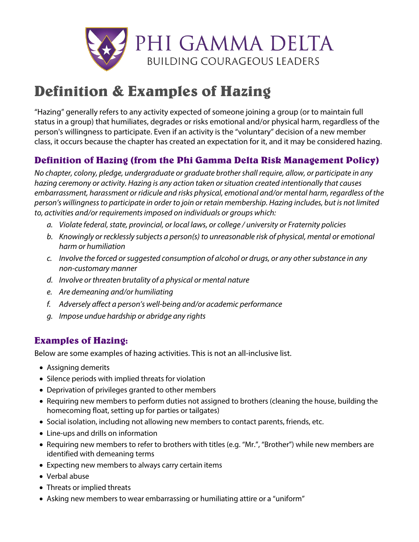

## **Definition & Examples of Hazing**

"Hazing" generally refers to any activity expected of someone joining a group (or to maintain full status in a group) that humiliates, degrades or risks emotional and/or physical harm, regardless of the person's willingness to participate. Even if an activity is the "voluntary" decision of a new member class, it occurs because the chapter has created an expectation for it, and it may be considered hazing.

## **Definition of Hazing (from the Phi Gamma Delta Risk Management Policy)**

*No chapter, colony, pledge, undergraduate or graduate brother shall require, allow, or participate in any hazing ceremony or activity. Hazing is any action taken or situation created intentionally that causes embarrassment, harassment or ridicule and risks physical, emotional and/or mental harm, regardless of the person's willingness to participate in order to join or retain membership. Hazing includes, but is not limited to, activities and/or requirements imposed on individuals or groups which:*

- *a. Violate federal, state, provincial, or local laws, or college / university or Fraternity policies*
- *b. Knowingly or recklessly subjects a person(s) to unreasonable risk of physical, mental or emotional harm or humiliation*
- *c. Involve the forced or suggested consumption of alcohol or drugs, or any other substance in any non-customary manner*
- *d. Involve or threaten brutality of a physical or mental nature*
- *e. Are demeaning and/or humiliating*
- *f. Adversely affect a person's well-being and/or academic performance*
- *g. Impose undue hardship or abridge any rights*

## **Examples of Hazing:**

Below are some examples of hazing activities. This is not an all-inclusive list.

- Assigning demerits
- Silence periods with implied threats for violation
- Deprivation of privileges granted to other members
- Requiring new members to perform duties not assigned to brothers (cleaning the house, building the homecoming float, setting up for parties or tailgates)
- Social isolation, including not allowing new members to contact parents, friends, etc.
- Line-ups and drills on information
- Requiring new members to refer to brothers with titles (e.g. "Mr.", "Brother") while new members are identified with demeaning terms
- Expecting new members to always carry certain items
- Verbal abuse
- Threats or implied threats
- Asking new members to wear embarrassing or humiliating attire or a "uniform"